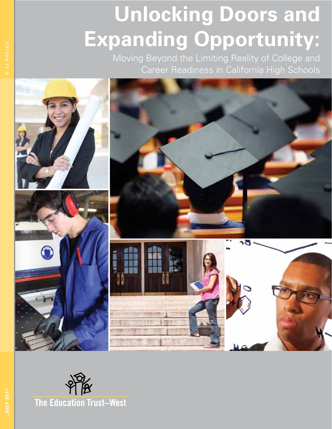# **Unlocking Doors and Expanding Opportunity:**

Moving Beyond the Limiting Reality of College and Career Readiness in California High Schools



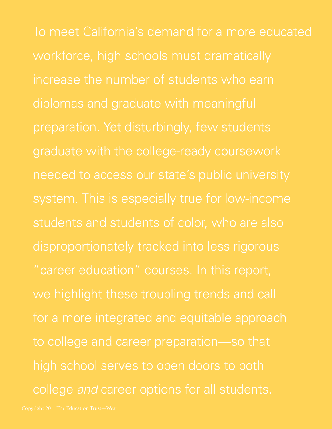To meet California's demand for a more educated workforce, high schools must dramatically increase the number of students who earn diplomas and graduate with meaningful preparation. Yet disturbingly, few students graduate with the college-ready coursework disproportionately tracked into less rigorous for a more integrated and equitable approach to college and career preparation—so that high school serves to open doors to both college *and* career options for all students.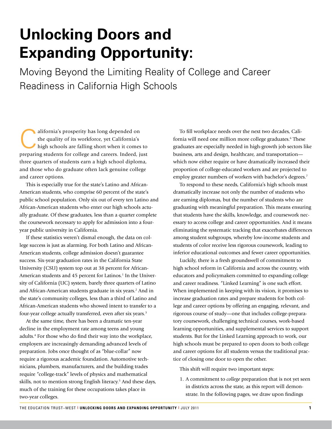## **Unlocking Doors and Expanding Opportunity:**

Moving Beyond the Limiting Reality of College and Career Readiness in California High Schools

alifornia's prosperity has long depended on the quality of its workforce, yet California's high schools are falling short when it comes to the quality of its workforce, yet California's preparing students for college and careers. Indeed, just three quarters of students earn a high school diploma, and those who do graduate often lack genuine college and career options.

This is especially true for the state's Latino and African-American students, who comprise 60 percent of the state's public school population. Only six out of every ten Latino and African-American students who enter our high schools actually graduate. Of these graduates, less than a quarter complete the coursework necessary to apply for admission into a fouryear public university in California.

If these statistics weren't dismal enough, the data on college success is just as alarming. For both Latino and African-American students, college admission doesn't guarantee success. Six-year graduation rates in the California State University (CSU) system top out at 38 percent for African-American students and 45 percent for Latinos.<sup>1</sup> In the University of California (UC) system, barely three quarters of Latino and African-American students graduate in six years.<sup>2</sup> And in the state's community colleges, less than a third of Latino and African-American students who showed intent to transfer to a four-year college actually transferred, even after six years.<sup>3</sup>

At the same time, there has been a dramatic ten-year decline in the employment rate among teens and young adults.4 For those who do find their way into the workplace, employers are increasingly demanding advanced levels of preparation. Jobs once thought of as "blue-collar" now require a rigorous academic foundation. Automotive technicians, plumbers, manufacturers, and the building trades require "college-track" levels of physics and mathematical skills, not to mention strong English literacy.<sup>5</sup> And these days, much of the training for these occupations takes place in two-year colleges.

To fill workplace needs over the next two decades, California will need one million more college graduates.<sup>6</sup> These graduates are especially needed in high-growth job sectors like business, arts and design, healthcare, and transportation which now either require or have dramatically increased their proportion of college-educated workers and are projected to employ greater numbers of workers with bachelor's degrees.<sup>7</sup>

To respond to these needs, California's high schools must dramatically increase not only the number of students who are earning diplomas, but the number of students who are graduating with meaningful preparation. This means ensuring that students have the skills, knowledge, and coursework necessary to access college and career opportunities. And it means eliminating the systematic tracking that exacerbates differences among student subgroups, whereby low-income students and students of color receive less rigorous coursework, leading to inferior educational outcomes and fewer career opportunities.

Luckily, there is a fresh groundswell of commitment to high school reform in California and across the country, with educators and policymakers committed to expanding college and career readiness. "Linked Learning" is one such effort. When implemented in keeping with its vision, it promises to increase graduation rates and prepare students for both college and career options by offering an engaging, relevant, and rigorous course of study—one that includes college-preparatory coursework, challenging technical courses, work-based learning opportunities, and supplemental services to support students. But for the Linked Learning approach to work, our high schools must be prepared to open doors to both college and career options for all students versus the traditional practice of closing one door to open the other.

This shift will require two important steps:

1. A commitment to *college* preparation that is not yet seen in districts across the state, as this report will demonstrate. In the following pages, we draw upon findings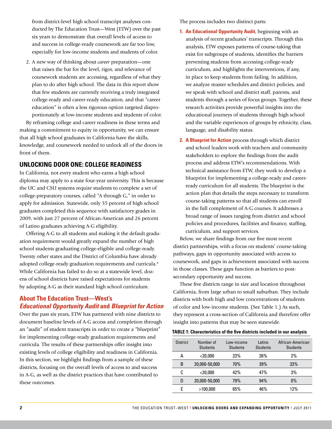from district-level high school transcript analyses conducted by The Education Trust—West (ETW) over the past six years to demonstrate that overall levels of access to and success in college-ready coursework are far too low, especially for low-income students and students of color.

2. A new way of thinking about *career* preparation—one that raises the bar for the level, rigor, and relevance of coursework students are accessing, regardless of what they plan to do after high school. The data in this report show that few students are currently receiving a truly integrated college-ready and career-ready education, and that "career education" is often a less rigorous option targeted disproportionately at low-income students and students of color.

By reframing college and career readiness in these terms and making a commitment to equity in opportunity, we can ensure that all high school graduates in California have the skills, knowledge, and coursework needed to unlock all of the doors in front of them.

### **UNLOCKING DOOR ONE: COLLEGE READINESS**

In California, not every student who earns a high school diploma may apply to a state four-year university. This is because the UC and CSU systems require students to complete a set of college-preparatory courses, called "A through G," in order to apply for admission. Statewide, only 35 percent of high school graduates completed this sequence with satisfactory grades in 2009, with just 27 percent of African-American and 26 percent of Latino graduates achieving A-G eligibility.

Offering A-G to all students and making it the default graduation requirement would greatly expand the number of high school students graduating college-eligible and college-ready. Twenty other states and the District of Columbia have already adopted college-ready graduation requirements and curricula.<sup>8</sup> While California has failed to do so at a statewide level, dozens of school districts have raised expectations for students by adopting A-G as their standard high school curriculum.

#### **About The Education Trust—West's**  *Educational Opportunity Audit* **and** *Blueprint for Action*

Over the past six years, ETW has partnered with nine districts to document baseline levels of A-G access and completion through an "audit" of student transcripts in order to create a "blueprint" for implementing college-ready graduation requirements and curricula. The results of these partnerships offer insight into existing levels of college eligibility and readiness in California. In this section, we highlight findings from a sample of these districts, focusing on the overall levels of access to and success in A-G, as well as the district practices that have contributed to these outcomes.

The process includes two distinct parts:

- **1. An Educational Opportunity Audit,** beginning with an analysis of recent graduates' transcripts. Through this analysis, ETW exposes patterns of course-taking that exist for subgroups of students, identifies the barriers preventing students from accessing college-ready curriculum, and highlights the interventions, if any, in place to keep students from failing. In addition, we analyze master schedules and district policies, and we speak with school and district staff, parents, and students through a series of focus groups. Together, these research activities provide powerful insights into the educational journeys of students through high school and the variable experiences of groups by ethnicity, class, language, and disability status.
- **2. A Blueprint for Action** process through which district and school leaders work with teachers and community stakeholders to explore the findings from the audit process and address ETW's recommendations. With technical assistance from ETW, they work to develop a blueprint for implementing a college-ready and careerready curriculum for all students. The blueprint is the action plan that details the steps necessary to transform course-taking patterns so that all students can enroll in the full complement of A-G courses. It addresses a broad range of issues ranging from district and school policies and procedures, facilities and finance, staffing, curriculum, and support services.

Below, we share findings from our five most recent district partnerships, with a focus on students' course-taking pathways, gaps in opportunity associated with access to coursework, and gaps in achievement associated with success in those classes. These gaps function as barriers to postsecondary opportunity and success.

These five districts range in size and location throughout California, from large urban to small suburban. They include districts with both high and low concentrations of students of color and low-income students. (See Table 1.) As such, they represent a cross-section of California and therefore offer insight into patterns that may be seen statewide.

#### **TABLE 1: Characteristics of the five districts included in our analysis**

| <b>District</b> | Number of<br><b>Students</b> | Low-income<br><b>Students</b> | Latino<br><b>Students</b> | African-American<br><b>Students</b> |
|-----------------|------------------------------|-------------------------------|---------------------------|-------------------------------------|
| А               | $<$ 20,000                   | 23%                           | 26%                       | 2%                                  |
| B               | 20,000-50,000                | 70%                           | 39%                       | 33%                                 |
| C               | $<$ 20,000                   | 42%                           | 47%                       | 3%                                  |
| D               | 20,000-50,000                | 79%                           | 94%                       | $0\%$                               |
|                 | >100.000                     | 65%                           | 46%                       | 12%                                 |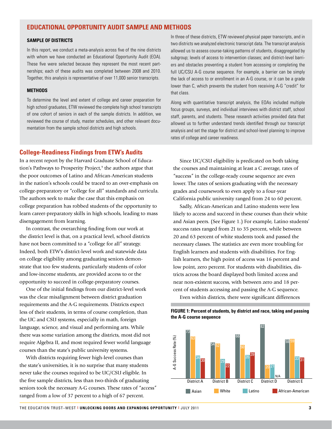#### **Educational Opportunity Audit Sample and Methods**

#### **Sample of Districts**

In this report, we conduct a meta-analysis across five of the nine districts with whom we have conducted an Educational Opportunity Audit (EOA). These five were selected because they represent the most recent partnerships; each of these audits was completed between 2008 and 2010. Together, this analysis is representative of over 11,000 senior transcripts.

#### **Methods**

To determine the level and extent of college and career preparation for high school graduates, ETW reviewed the complete high school transcripts of one cohort of seniors in each of the sample districts. In addition, we reviewed the course of study, master schedules, and other relevant documentation from the sample school districts and high schools.

In three of these districts, ETW reviewed physical paper transcripts, and in two districts we analyzed electronic transcript data. The transcript analysis allowed us to assess course-taking patterns of students, disaggregated by subgroup; levels of access to intervention classes; and district-level barriers and obstacles preventing a student from accessing or completing the full UC/CSU A-G course sequence. For example, a barrier can be simply the lack of access to or enrollment in an A-G course, or it can be a grade lower than C, which prevents the student from receiving A-G "credit" for that class.

Along with quantitative transcript analysis, the EOAs included multiple focus groups, surveys, and individual interviews with district staff, school staff, parents, and students. These research activities provided data that allowed us to further understand trends identified through our transcript analysis and set the stage for district and school-level planning to improve rates of college and career readiness.

#### **College-Readiness Findings from ETW's Audits**

In a recent report by the Harvard Graduate School of Education's Pathways to Prosperity Project,<sup>9</sup> the authors argue that the poor outcomes of Latino and African-American students in the nation's schools could be traced to an over-emphasis on college-preparatory or "college for all" standards and curricula. The authors seek to make the case that this emphasis on college preparation has robbed students of the opportunity to learn career-preparatory skills in high schools, leading to mass disengagement from learning.

In contrast, the overarching finding from our work at the district level is that, on a practical level, school districts have not been committed to a "college for all" strategy. Indeed, both ETW's district-level work and statewide data on college eligibility among graduating seniors demonstrate that too few students, particularly students of color and low-income students, are provided access to or the opportunity to succeed in college-preparatory courses.

One of the initial findings from our district-level work was the clear misalignment between district graduation requirements and the A-G requirements. Districts expect less of their students, in terms of course completion, than the UC and CSU systems, especially in math, foreign language, science, and visual and performing arts. While there was some variation among the districts, most did not require Algebra II, and most required fewer world language courses than the state's public university systems.

With districts requiring fewer high-level courses than the state's universities, it is no surprise that many students never take the courses required to be UC/CSU eligible. In the five sample districts, less than two-thirds of graduating seniors took the necessary A-G courses. These rates of "access" ranged from a low of 37 percent to a high of 67 percent.

Since UC/CSU eligibility is predicated on both taking the courses and maintaining at least a C average, rates of "success" in the college-ready course sequence are even lower. The rates of seniors graduating with the necessary grades and coursework to even apply to a four-year California public university ranged from 24 to 60 percent.

Sadly, African-American and Latino students were less likely to access and succeed in these courses than their white and Asian peers. (See Figure 1.) For example, Latino students' success rates ranged from 21 to 35 percent, while between 20 and 63 percent of white students took and passed the necessary classes. The statistics are even more troubling for English learners and students with disabilities. For English learners, the high point of access was 16 percent and low point, zero percent. For students with disabilities, districts across the board displayed both limited access and near non-existent success, with between zero and 18 percent of students accessing and passing the A-G sequence.

Even within districts, there were significant differences



#### **FIGURE 1: Percent of students, by district and race, taking and passing the A-G course sequence**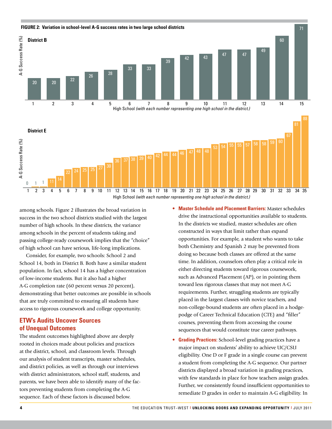

among schools. Figure 2 illustrates the broad variation in success in the two school districts studied with the largest number of high schools. In these districts, the variance among schools in the percent of students taking and passing college-ready coursework implies that the "choice" of high school can have serious, life-long implications.

Consider, for example, two schools: School 2 and School 14, both in District B. Both have a similar student population. In fact, school 14 has a higher concentration of low-income students. But it also had a higher A-G completion rate (60 percent versus 20 percent), demonstrating that better outcomes are possible in schools that are truly committed to ensuring all students have access to rigorous coursework and college opportunity.

#### **ETW's Audits Uncover Sources of Unequal Outcomes**

The student outcomes highlighted above are deeply rooted in choices made about policies and practices at the district, school, and classroom levels. Through our analysis of student transcripts, master schedules, and district policies, as well as through our interviews with district administrators, school staff, students, and parents, we have been able to identify many of the factors preventing students from completing the A-G sequence. Each of these factors is discussed below.

- **• Master Schedule and Placement Barriers:** Master schedules drive the instructional opportunities available to students. In the districts we studied, master schedules are often constructed in ways that limit rather than expand opportunities. For example, a student who wants to take both Chemistry and Spanish 2 may be prevented from doing so because both classes are offered at the same time. In addition, counselors often play a critical role in either directing students toward rigorous coursework, such as Advanced Placement (AP), or in pointing them toward less rigorous classes that may not meet A-G requirements. Further, struggling students are typically placed in the largest classes with novice teachers, and non-college-bound students are often placed in a hodgepodge of Career Technical Education (CTE) and "filler" courses, preventing them from accessing the course sequences that would constitute true career pathways.
- **• Grading Practices:** School-level grading practices have a major impact on students' ability to achieve UC/CSU eligibility. One D or F grade in a single course can prevent a student from completing the A-G sequence. Our partner districts displayed a broad variation in grading practices, with few standards in place for how teachers assign grades. Further, we consistently found insufficient opportunities to remediate D grades in order to maintain A-G eligibility. In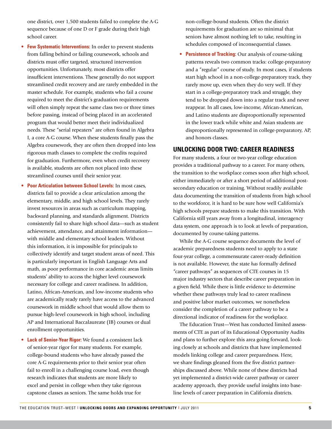one district, over 1,500 students failed to complete the A-G sequence because of one D or F grade during their high school career.

- **Few Systematic Interventions:** In order to prevent students from falling behind or failing coursework, schools and districts must offer targeted, structured intervention opportunities. Unfortunately, most districts offer insufficient interventions. These generally do not support streamlined credit recovery and are rarely embedded in the master schedule. For example, students who fail a course required to meet the district's graduation requirements will often simply repeat the same class two or three times before passing, instead of being placed in an accelerated program that would better meet their individualized needs. These "serial repeaters" are often found in Algebra I, a core A-G course. When these students finally pass the Algebra coursework, they are often then dropped into less rigorous math classes to complete the credits required for graduation. Furthermore, even when credit recovery is available, students are often not placed into these streamlined courses until their senior year.
- **• Poor Articulation between School Levels:** In most cases, districts fail to provide a clear articulation among the elementary, middle, and high school levels. They rarely invest resources in areas such as curriculum mapping, backward planning, and standards alignment. Districts consistently fail to share high school data—such as student achievement, attendance, and attainment information with middle and elementary school leaders. Without this information, it is impossible for principals to collectively identify and target student areas of need. This is particularly important in English Language Arts and math, as poor performance in core academic areas limits students' ability to access the higher level coursework necessary for college and career readiness. In addition, Latino, African-American, and low-income students who are academically ready rarely have access to the advanced coursework in middle school that would allow them to pursue high-level coursework in high school, including AP and International Baccalaureate (IB) courses or dual enrollment opportunities.
- **• Lack of Senior-Year Rigor:** We found a consistent lack of senior-year rigor for many students. For example, college-bound students who have already passed the core A-G requirements prior to their senior year often fail to enroll in a challenging course load, even though research indicates that students are more likely to excel and persist in college when they take rigorous capstone classes as seniors. The same holds true for

non-college-bound students. Often the district requirements for graduation are so minimal that seniors have almost nothing left to take, resulting in schedules composed of inconsequential classes.

**• Persistence of Tracking:** Our analysis of course-taking patterns reveals two common tracks: college-preparatory and a "regular" course of study. In most cases, if students start high school in a non-college-preparatory track, they rarely move up, even when they do very well. If they start in a college-preparatory track and struggle, they tend to be dropped down into a regular track and never reappear. In all cases, low-income, African-American, and Latino students are disproportionally represented in the lower track while white and Asian students are disproportionally represented in college-preparatory, AP, and honors classes.

#### **UNLOCKING DOOR TWO: CAREER READINESS**

For many students, a four or two-year college education provides a traditional pathway to a career. For many others, the transition to the workplace comes soon after high school, either immediately or after a short period of additional postsecondary education or training. Without readily available data documenting the transition of students from high school to the workforce, it is hard to be sure how well California's high schools prepare students to make this transition. With California still years away from a longitudinal, interagency data system, one approach is to look at levels of preparation, documented by course-taking patterns.

While the A-G course sequence documents the level of academic preparedness students need to apply to a state four-year college, a commensurate career-ready definition is not available. However, the state *has* formally defined "career pathways" as sequences of CTE courses in 15 major industry sectors that describe career preparation in a given field. While there is little evidence to determine whether these pathways truly lead to career readiness and positive labor market outcomes, we nonetheless consider the completion of a career pathway to be a directional indicator of readiness for the workplace.

The Education Trust—West has conducted limited assessments of CTE as part of its Educational Opportunity Audits and plans to further explore this area going forward, looking closely at schools and districts that have implemented models linking college and career preparedness. Here, we share findings gleaned from the five district partnerships discussed above. While none of these districts had yet implemented a district-wide career pathway or career academy approach, they provide useful insights into baseline levels of career preparation in California districts.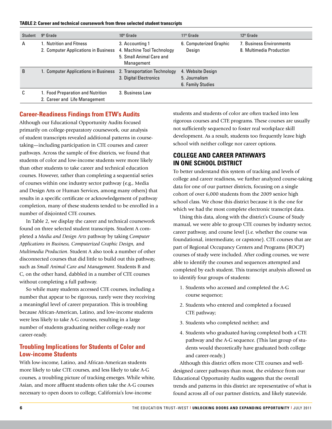**TABLE 2: Career and technical coursework from three selected student transcripts** 

| Student      | 9 <sup>th</sup> Grade                                                                       | 10 <sup>th</sup> Grade                                    | 11 <sup>th</sup> Grade                                  | 12 <sup>th</sup> Grade                               |
|--------------|---------------------------------------------------------------------------------------------|-----------------------------------------------------------|---------------------------------------------------------|------------------------------------------------------|
| А            | 1. Nutrition and Fitness<br>2. Computer Applications in Business 4. Machine Tool Technology | 3. Accounting 1<br>5. Small Animal Care and<br>Management | 6. Computerized Graphic<br>Design                       | 7. Business Environments<br>8. Multimedia Production |
| <sub>B</sub> | 1. Computer Applications in Business 2. Transportation Technology                           | 3. Digital Electronics                                    | 4. Website Design<br>5. Journalism<br>6. Family Studies |                                                      |
| C            | 1. Food Preparation and Nutrition<br>2. Career and Life Management                          | 3. Business Law                                           |                                                         |                                                      |

#### **Career-Readiness Findings from ETW's Audits**

Although our Educational Opportunity Audits focused primarily on college-preparatory coursework, our analysis of student transcripts revealed additional patterns in coursetaking—including participation in CTE courses and career pathways. Across the sample of five districts, we found that students of color and low-income students were more likely than other students to take career and technical education courses. However, rather than completing a sequential series of courses within one industry sector pathway (e.g., Media and Design Arts or Human Services, among many others) that results in a specific certificate or acknowledgement of pathway completion, many of these students tended to be enrolled in a number of disjointed CTE courses.

In Table 2, we display the career and technical coursework found on three selected student transcripts. Student A completed a *Media and Design Arts* pathway by taking *Computer Applications in Business, Computerized Graphic Design,* and *Multimedia Production*. Student A also took a number of other disconnected courses that did little to build out this pathway, such as *Small Animal Care and Management*. Students B and C, on the other hand, dabbled in a number of CTE courses without completing a full pathway.

So while many students accessed CTE courses, including a number that appear to be rigorous, rarely were they receiving a meaningful level of career preparation. This is troubling because African-American, Latino, and low-income students were less likely to take A-G courses, resulting in a large number of students graduating neither college-ready nor career-ready.

#### **Troubling Implications for Students of Color and Low-income Students**

With low-income, Latino, and African-American students more likely to take CTE courses, and less likely to take A-G courses, a troubling picture of tracking emerges. While white, Asian, and more affluent students often take the A-G courses necessary to open doors to college, California's low-income

students and students of color are often tracked into less rigorous courses and CTE programs. These courses are usually not sufficiently sequenced to foster real workplace skill development. As a result, students too frequently leave high school with neither college nor career options.

#### **COLLEGE AND CAREER PATHWAYS IN ONE SCHOOL DISTRICT**

To better understand this system of tracking and levels of college and career readiness, we further analyzed course-taking data for one of our partner districts, focusing on a single cohort of over 6,000 students from the 2009 senior high school class. We chose this district because it is the one for which we had the most complete electronic transcript data.

Using this data, along with the district's Course of Study manual, we were able to group CTE courses by industry sector, career pathway, and course level (i.e. whether the course was foundational, intermediate, or capstone). CTE courses that are part of Regional Occupancy Centers and Programs (ROCP) courses of study were included. After coding courses, we were able to identify the courses and sequences attempted and completed by each student. This transcript analysis allowed us to identify four groups of students:

- 1. Students who accessed and completed the A-G course sequence;
- 2. Students who entered and completed a focused CTE pathway;
- 3. Students who completed neither; and
- 4. Students who graduated having completed both a CTE pathway and the A-G sequence. (This last group of students would theoretically have graduated both college and career-ready.)

Although this district offers more CTE courses and welldesigned career pathways than most, the evidence from our Educational Opportunity Audits suggests that the overall trends and patterns in this district are representative of what is found across all of our partner districts, and likely statewide.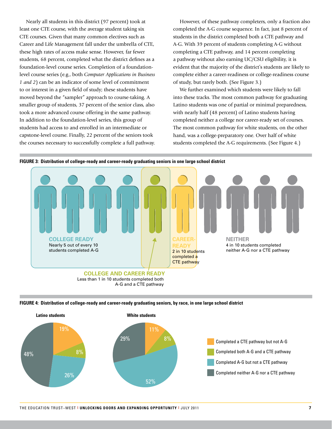Nearly all students in this district (97 percent) took at least one CTE course, with the average student taking six CTE courses. Given that many common electives such as Career and Life Management fall under the umbrella of CTE, these high rates of access make sense. However, far fewer students, 68 percent, completed what the district defines as a foundation-level course series. Completion of a foundationlevel course series (e.g., both *Computer Applications in Business 1 and 2*) can be an indicator of some level of commitment to or interest in a given field of study; these students have moved beyond the "sampler" approach to course-taking. A smaller group of students, 37 percent of the senior class, also took a more advanced course offering in the same pathway. In addition to the foundation-level series, this group of students had access to and enrolled in an intermediate or capstone-level course. Finally, 22 percent of the seniors took the courses necessary to successfully complete a full pathway.

However, of these pathway completers, only a fraction also completed the A-G course sequence. In fact, just 8 percent of students in the district completed both a CTE pathway and A-G. With 39 percent of students completing A-G without completing a CTE pathway, and 14 percent completing a pathway without also earning UC/CSU eligibility, it is evident that the majority of the district's students are likely to complete either a career-readiness or college-readiness course of study, but rarely both. (See Figure 3.)

We further examined which students were likely to fall into these tracks. The most common pathway for graduating Latino students was one of partial or minimal preparedness, with nearly half (48 percent) of Latino students having completed neither a college nor career-ready set of courses. The most common pathway for white students, on the other hand, was a college-preparatory one. Over half of white students completed the A-G requirements. (See Figure 4.)





Less than 1 in 10 students completed both A-G and a CTE pathway



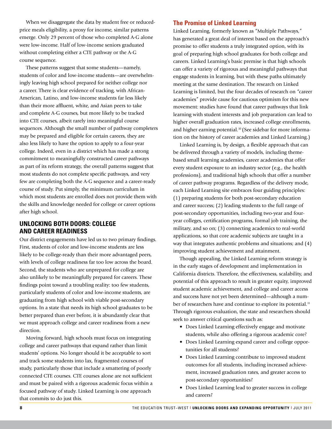When we disaggregate the data by student free or reducedprice meals eligibility, a proxy for income, similar patterns emerge. Only 29 percent of those who completed A-G alone were low-income. Half of low-income seniors graduated without completing either a CTE pathway or the A-G course sequence.

These patterns suggest that some students—namely, students of color and low-income students—are overwhelmingly leaving high school prepared for neither college nor a career. There is clear evidence of tracking, with African-American, Latino, and low-income students far less likely than their more affluent, white, and Asian peers to take and complete A-G courses, but more likely to be tracked into CTE courses, albeit rarely into meaningful course sequences. Although the small number of pathway completers may be prepared and eligible for certain careers, they are also less likely to have the option to apply to a four-year college. Indeed, even in a district which has made a strong commitment to meaningfully constructed career pathways as part of its reform strategy, the overall patterns suggest that most students do not complete specific pathways, and very few are completing both the A-G sequence and a career-ready course of study. Put simply, the minimum curriculum in which most students are enrolled does not provide them with the skills and knowledge needed for college or career options after high school.

#### **UNLOCKING BOTH DOORS: COLLEGE AND CAREER READINESS**

Our district engagements have led us to two primary findings. First, students of color and low-income students are less likely to be college-ready than their more advantaged peers, with levels of college readiness far too low across the board. Second, the students who are unprepared for college are also unlikely to be meaningfully prepared for careers. These findings point toward a troubling reality: too few students, particularly students of color and low-income students, are graduating from high school with viable post-secondary options. In a state that needs its high school graduates to be better prepared than ever before, it is abundantly clear that we must approach college and career readiness from a new direction.

Moving forward, high schools must focus on integrating college and career pathways that expand rather than limit students' options. No longer should it be acceptable to sort and track some students into lax, fragmented courses of study, particularly those that include a smattering of poorly connected CTE courses. CTE courses alone are not sufficient and must be paired with a rigorous academic focus within a focused pathway of study. Linked Learning is one approach that commits to do just this.

#### **The Promise of Linked Learning**

Linked Learning, formerly known as "Multiple Pathways," has generated a great deal of interest based on the approach's promise to offer students a truly integrated option, with its goal of preparing high school graduates for both college and careers. Linked Learning's basic premise is that high schools can offer a variety of rigorous and meaningful pathways that engage students in learning, but with these paths ultimately meeting at the same destination. The research on Linked Learning is limited, but the four decades of research on "career academies" provide cause for cautious optimism for this new movement: studies have found that career pathways that link learning with student interests and job preparation can lead to higher overall graduation rates, increased college enrollments, and higher earning potential.<sup>10</sup> (See sidebar for more information on the history of career academies and Linked Learning.)

Linked Learning is, by design, a flexible approach that can be delivered through a variety of models, including themebased small learning academies, career academies that offer every student exposure to an industry sector (e.g., the health professions), and traditional high schools that offer a number of career pathway programs. Regardless of the delivery mode, each Linked Learning site embraces four guiding principles: (1) preparing students for both post-secondary education and career success; (2) leading students to the full range of post-secondary opportunities, including two-year and fouryear colleges, certification programs, formal job training, the military, and so on; (3) connecting academics to real-world applications, so that core academic subjects are taught in a way that integrates authentic problems and situations; and (4) improving student achievement and attainment.

Though appealing, the Linked Learning reform strategy is in the early stages of development and implementation in California districts. Therefore, the effectiveness, scalability, and potential of this approach to result in greater equity, improved student academic achievement, and college and career access and success have not yet been determined—although a number of researchers have and continue to explore its potential.<sup>11</sup> Through rigorous evaluation, the state and researchers should seek to answer critical questions such as:

- Does Linked Learning effectively engage and motivate students, while also offering a rigorous academic core?
- Does Linked Learning expand career and college opportunities for all students?
- Does Linked Learning contribute to improved student outcomes for all students, including increased achievement, increased graduation rates, and greater access to post-secondary opportunities?
- Does Linked Learning lead to greater success in college and careers?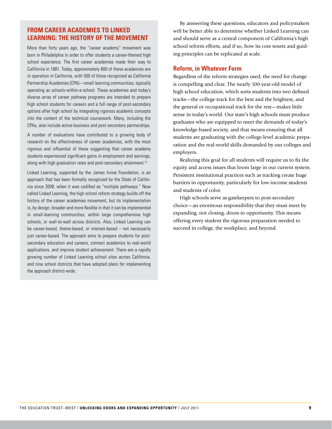#### **From Career Academies to Linked Learning: The History of the Movement**

More than forty years ago, the "career academy" movement was born in Philadelphia in order to offer students a career-themed high school experience. The first career academies made their way to California in 1981. Today, approximately 800 of these academies are in operation in California, with 500 of those recognized as California Partnership Academies (CPA)—small learning communities, typically operating as schools-within-a-school. These academies and today's diverse array of career pathway programs are intended to prepare high school students for careers and a full range of post-secondary options after high school by integrating rigorous academic concepts into the content of the technical coursework. Many, including the CPAs, also include active business and post-secondary partnerships.

A number of evaluations have contributed to a growing body of research on the effectiveness of career academies, with the most rigorous and influential of these suggesting that career academy students experienced significant gains in employment and earnings, along with high graduation rates and post-secondary attainment.<sup>12</sup>

Linked Learning, supported by the James Irvine Foundation, is an approach that has been formally recognized by the State of California since 2008, when it was codified as "multiple pathways." Now called Linked Learning, the high school reform strategy builds off the history of the career academies movement, but its implementation is, by design, broader and more flexible in that it can be implemented in small-learning communities, within large comprehensive high schools, or wall-to-wall across districts. Also, Linked Learning can be career-based, theme-based, or interest-based – not necessarily just career-based. The approach aims to prepare students for postsecondary education and careers, connect academics to real-world applications, and improve student achievement. There are a rapidly growing number of Linked Learning school sites across California, and nine school districts that have adopted plans for implementing the approach district-wide.

By answering these questions, educators and policymakers will be better able to determine whether Linked Learning can and should serve as a central component of California's high school reform efforts, and if so, how its core tenets and guiding principles can be replicated at scale.

#### **Reform, in Whatever Form**

Regardless of the reform strategies used, the need for change is compelling and clear. The nearly 100-year-old model of high school education, which sorts students into two defined tracks—the college-track for the best and the brightest, and the general or occupational track for the rest—makes little sense in today's world. Our state's high schools must produce graduates who are equipped to meet the demands of today's knowledge-based society, and that means ensuring that all students are graduating with the college-level academic preparation and the real-world skills demanded by our colleges and employers.

Realizing this goal for all students will require us to fix the equity and access issues that loom large in our current system. Persistent institutional practices such as tracking create huge barriers in opportunity, particularly for low-income students and students of color.

High schools serve as gatekeepers to post-secondary choice—an enormous responsibility that they must meet by expanding, not closing, doors to opportunity. This means offering every student the rigorous preparation needed to succeed in college, the workplace, and beyond.